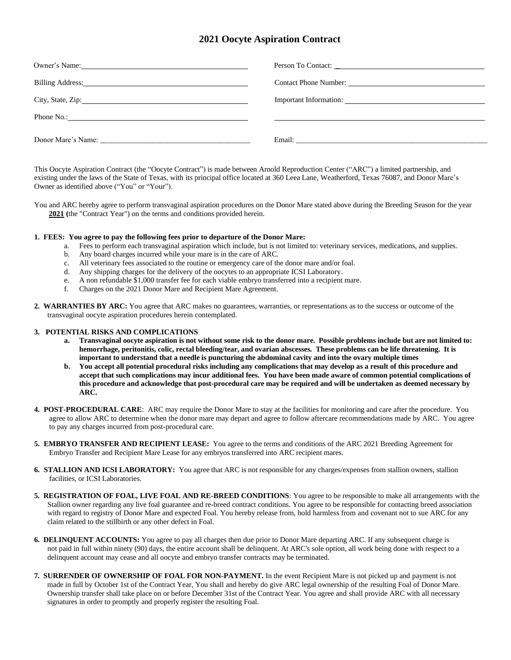## **2021 Oocyte Aspiration Contract**

| Owner's Name: 2008. [2016]                                                                                                                                                                                                     |                                                                                                                                                                                                                                |
|--------------------------------------------------------------------------------------------------------------------------------------------------------------------------------------------------------------------------------|--------------------------------------------------------------------------------------------------------------------------------------------------------------------------------------------------------------------------------|
| Billing Address: No. 1996. The South of the South State of the South State of the South State of the South State of the South State of the South State of the South State of the South State of the South State of the South S | Contact Phone Number:                                                                                                                                                                                                          |
| City, State, Zip: 2008. Experience of the State of Table 2014.                                                                                                                                                                 |                                                                                                                                                                                                                                |
| Phone No.: $\qquad \qquad$                                                                                                                                                                                                     |                                                                                                                                                                                                                                |
| Donor Mare's Name:                                                                                                                                                                                                             | Email: The contract of the contract of the contract of the contract of the contract of the contract of the contract of the contract of the contract of the contract of the contract of the contract of the contract of the con |

This Oocyte Aspiration Contract (the "Oocyte Contract") is made between Arnold Reproduction Center ("ARC") a limited partnership, and existing under the laws of the State of Texas, with its principal office located at 360 Leea Lane, Weatherford, Texas 76087, and Donor Mare's Owner as identified above ("You" or "Your").

You and ARC hereby agree to perform transvaginal aspiration procedures on the Donor Mare stated above during the Breeding Season for the year **2021 (**the "Contract Year") on the terms and conditions provided herein.

## **1. FEES: You agree to pay the following fees prior to departure of the Donor Mare:**

- a. Fees to perform each transvaginal aspiration which include, but is not limited to: veterinary services, medications, and supplies.
- b. Any board charges incurred while your mare is in the care of ARC.
- c. All veterinary fees associated to the routine or emergency care of the donor mare and/or foal.
- d. Any shipping charges for the delivery of the oocytes to an appropriate ICSI Laboratory.
- e. A non refundable \$1,000 transfer fee for each viable embryo transferred into a recipient mare.
- f. Charges on the 2021 Donor Mare and Recipient Mare Agreement.
- **2. WARRANTIES BY ARC:** You agree that ARC makes no guarantees, warranties, or representations as to the success or outcome of the transvaginal oocyte aspiration procedures herein contemplated.

## **3. POTENTIAL RISKS AND COMPLICATIONS**

- **a. Transvaginal oocyte aspiration is not without some risk to the donor mare. Possible problems include but are not limited to: hemorrhage, peritonitis, colic, rectal bleeding/tear, and ovarian abscesses. These problems can be life threatening. It is important to understand that a needle is puncturing the abdominal cavity and into the ovary multiple times**
- **b. You accept all potential procedural risks including any complications that may develop as a result of this procedure and accept that such complications may incur additional fees. You have been made aware of common potential complications of this procedure and acknowledge that post-procedural care may be required and will be undertaken as deemed necessary by ARC.**
- **4. POST-PROCEDURAL CARE**: ARC may require the Donor Mare to stay at the facilities for monitoring and care after the procedure. You agree to allow ARC to determine when the donor mare may depart and agree to follow aftercare recommendations made by ARC. You agree to pay any charges incurred from post-procedural care.
- **5. EMBRYO TRANSFER AND RECIPIENT LEASE:** You agree to the terms and conditions of the ARC 2021 Breeding Agreement for Embryo Transfer and Recipient Mare Lease for any embryos transferred into ARC recipient mares.
- **6. STALLION AND ICSI LABORATORY:** You agree that ARC is not responsible for any charges/expenses from stallion owners, stallion facilities, or ICSI Laboratories.
- **5. REGISTRATION OF FOAL, LIVE FOAL AND RE-BREED CONDITIONS**: You agree to be responsible to make all arrangements with the Stallion owner regarding any live foal guarantee and re-breed contract conditions. You agree to be responsible for contacting breed association with regard to registry of Donor Mare and expected Foal. You hereby release from, hold harmless from and covenant not to sue ARC for any claim related to the stillbirth or any other defect in Foal.
- **6. DELINQUENT ACCOUNTS:** You agree to pay all charges then due prior to Donor Mare departing ARC. If any subsequent charge is not paid in full within ninety (90) days, the entire account shall be delinquent. At ARC's sole option, all work being done with respect to a delinquent account may cease and all oocyte and embryo transfer contracts may be terminated.
- **7. SURRENDER OF OWNERSHIP OF FOAL FOR NON-PAYMENT.** In the event Recipient Mare is not picked up and payment is not made in full by October 1st of the Contract Year, You shall and hereby do give ARC legal ownership of the resulting Foal of Donor Mare. Ownership transfer shall take place on or before December 31st of the Contract Year. You agree and shall provide ARC with all necessary signatures in order to promptly and properly register the resulting Foal.